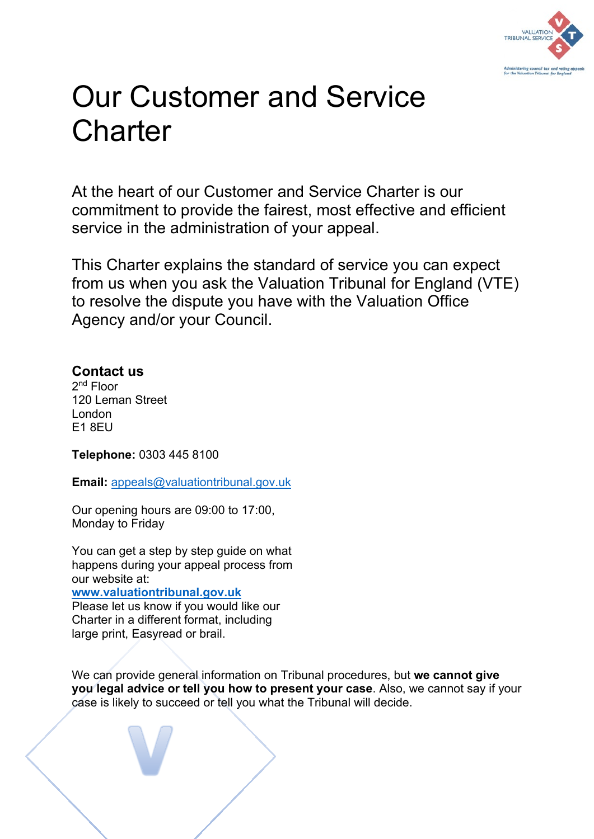

# Our Customer and Service **Charter**

At the heart of our Customer and Service Charter is our commitment to provide the fairest, most effective and efficient service in the administration of your appeal.

This Charter explains the standard of service you can expect from us when you ask the Valuation Tribunal for England (VTE) to resolve the dispute you have with the Valuation Office Agency and/or your Council.

# **Contact us**

2nd Floor 120 Leman Street London E1 8EU

**Telephone:** 0303 445 8100

**Email:** [appeals@valuationtribunal.gov.uk](mailto:appeals@valuationtribunal.gov.uk)

Our opening hours are 09:00 to 17:00, Monday to Friday

You can get a step by step guide on what happens during your appeal process from our website at:

**[www.valuationtribunal.gov.uk](http://www.valuationtribunal.gov.uk/)**

Please let us know if you would like our Charter in a different format, including large print, Easyread or brail.

We can provide general information on Tribunal procedures, but **we cannot give you legal advice or tell you how to present your case**. Also, we cannot say if your case is likely to succeed or tell you what the Tribunal will decide.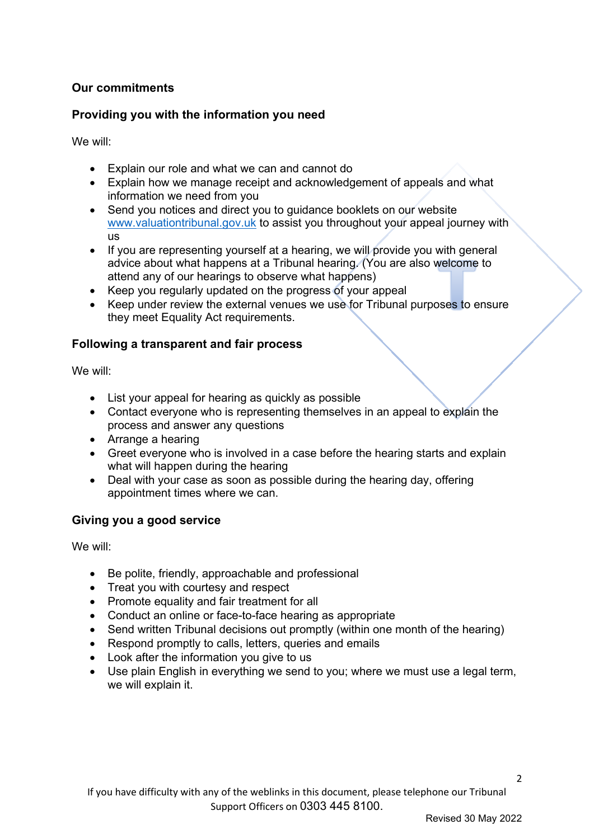### **Our commitments**

#### **Providing you with the information you need**

We will:

- Explain our role and what we can and cannot do
- Explain how we manage receipt and acknowledgement of appeals and what information we need from you
- Send you notices and direct you to guidance booklets on our website [www.valuationtribunal.gov.uk](http://www.valuationtribunal.gov.uk/) to assist you throughout your appeal journey with us
- If you are representing yourself at a hearing, we will provide you with general advice about what happens at a Tribunal hearing. (You are also welcome to attend any of our hearings to observe what happens)
- Keep you regularly updated on the progress of your appeal
- Keep under review the external venues we use for Tribunal purposes to ensure they meet Equality Act requirements.

## **Following a transparent and fair process**

We will:

- List your appeal for hearing as quickly as possible
- Contact everyone who is representing themselves in an appeal to explain the process and answer any questions
- Arrange a hearing
- Greet everyone who is involved in a case before the hearing starts and explain what will happen during the hearing
- Deal with your case as soon as possible during the hearing day, offering appointment times where we can.

#### **Giving you a good service**

We will:

- Be polite, friendly, approachable and professional
- Treat you with courtesy and respect
- Promote equality and fair treatment for all
- Conduct an online or face-to-face hearing as appropriate
- Send written Tribunal decisions out promptly (within one month of the hearing)
- Respond promptly to calls, letters, queries and emails
- Look after the information you give to us
- Use plain English in everything we send to you; where we must use a legal term, we will explain it.

 $\mathfrak{p}$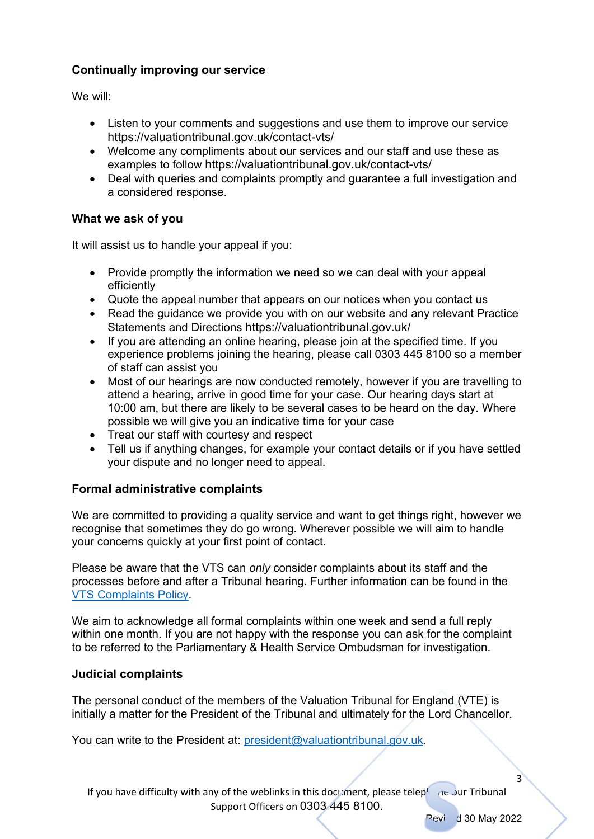## **Continually improving our service**

We will:

- Listen to your comments and suggestions and use them to improve our service https://valuationtribunal.gov.uk/contact-vts/
- Welcome any compliments about our services and our staff and use these as examples to follow https://valuationtribunal.gov.uk/contact-vts/
- Deal with queries and complaints promptly and guarantee a full investigation and a considered response.

#### **What we ask of you**

It will assist us to handle your appeal if you:

- Provide promptly the information we need so we can deal with your appeal efficiently
- Quote the appeal number that appears on our notices when you contact us
- Read the guidance we provide you with on our website and any relevant Practice Statements and Directions https://valuationtribunal.gov.uk/
- If you are attending an online hearing, please join at the specified time. If you experience problems joining the hearing, please call 0303 445 8100 so a member of staff can assist you
- Most of our hearings are now conducted remotely, however if you are travelling to attend a hearing, arrive in good time for your case. Our hearing days start at 10:00 am, but there are likely to be several cases to be heard on the day. Where possible we will give you an indicative time for your case
- Treat our staff with courtesy and respect
- Tell us if anything changes, for example your contact details or if you have settled your dispute and no longer need to appeal.

#### **Formal administrative complaints**

We are committed to providing a quality service and want to get things right, however we recognise that sometimes they do go wrong. Wherever possible we will aim to handle your concerns quickly at your first point of contact.

Please be aware that the VTS can *only* consider complaints about its staff and the processes before and after a Tribunal hearing. Further information can be found in the [VTS Complaints Policy.](https://valuationtribunal.gov.uk/about-vts/corporate-publications/)

We aim to acknowledge all formal complaints within one week and send a full reply within one month. If you are not happy with the response you can ask for the complaint to be referred to the Parliamentary & Health Service Ombudsman for investigation.

#### **Judicial complaints**

The personal conduct of the members of the Valuation Tribunal for England (VTE) is initially a matter for the President of the Tribunal and ultimately for the Lord Chancellor.

You can write to the President at: [president@valuationtribunal.gov.uk.](mailto:president@valuationtribunal.gov.uk)

If you have difficulty with any of the weblinks in this document, please telephone our Tribunal Support Officers on 0303 445 8100.

 $Pevi$  d 30 May 2022

3